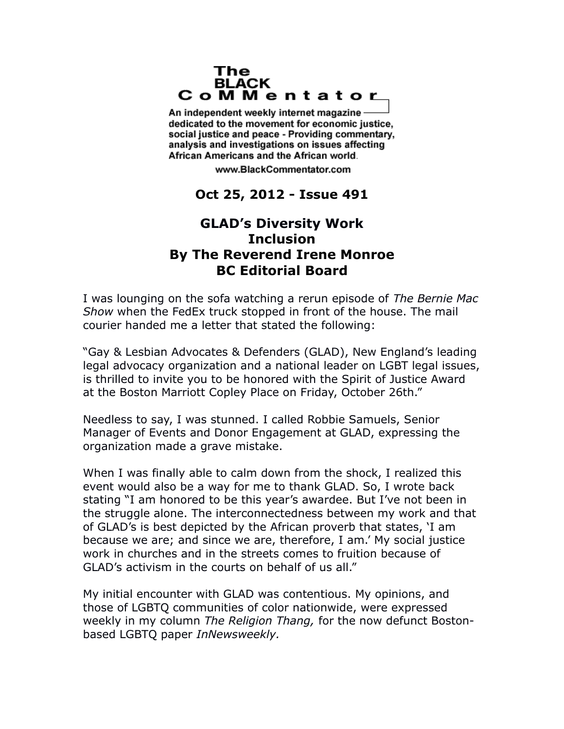## The **BLACK** CoMMentator

An independent weekly internet magazine dedicated to the movement for economic justice. social justice and peace - Providing commentary, analysis and investigations on issues affecting African Americans and the African world.

www.BlackCommentator.com

## **Oct 25, 2012 - Issue 491**

## **GLAD's Diversity Work Inclusion By The Reverend Irene Monroe BC Editorial Board**

I was lounging on the sofa watching a rerun episode of *The Bernie Mac Show* when the FedEx truck stopped in front of the house. The mail courier handed me a letter that stated the following:

"Gay & Lesbian Advocates & Defenders (GLAD), New England's leading legal advocacy organization and a national leader on LGBT legal issues, is thrilled to invite you to be honored with the Spirit of Justice Award at the Boston Marriott Copley Place on Friday, October 26th."

Needless to say, I was stunned. I called Robbie Samuels, Senior Manager of Events and Donor Engagement at GLAD, expressing the organization made a grave mistake.

When I was finally able to calm down from the shock, I realized this event would also be a way for me to thank GLAD. So, I wrote back stating "I am honored to be this year's awardee. But I've not been in the struggle alone. The interconnectedness between my work and that of GLAD's is best depicted by the African proverb that states, 'I am because we are; and since we are, therefore, I am.' My social justice work in churches and in the streets comes to fruition because of GLAD's activism in the courts on behalf of us all."

My initial encounter with GLAD was contentious. My opinions, and those of LGBTQ communities of color nationwide, were expressed weekly in my column *The Religion Thang,* for the now defunct Bostonbased LGBTQ paper *InNewsweekly.*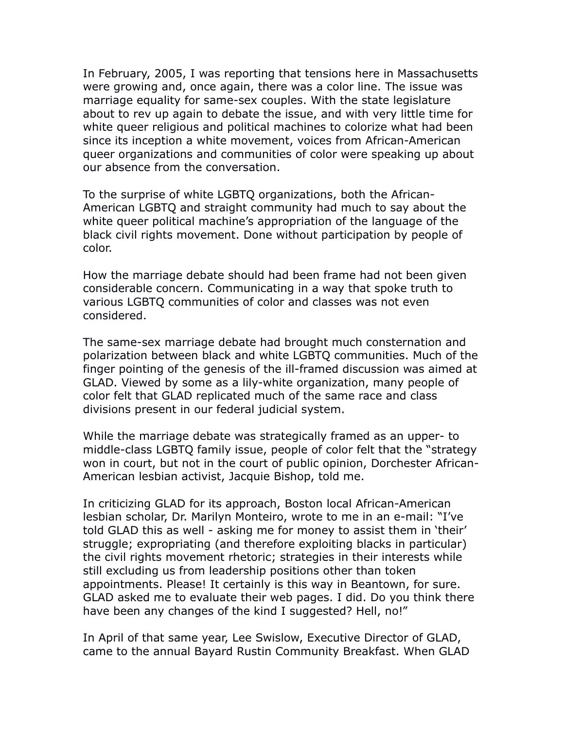In February, 2005, I was reporting that tensions here in Massachusetts were growing and, once again, there was a color line. The issue was marriage equality for same-sex couples. With the state legislature about to rev up again to debate the issue, and with very little time for white queer religious and political machines to colorize what had been since its inception a white movement, voices from African-American queer organizations and communities of color were speaking up about our absence from the conversation.

To the surprise of white LGBTQ organizations, both the African-American LGBTQ and straight community had much to say about the white queer political machine's appropriation of the language of the black civil rights movement. Done without participation by people of color.

How the marriage debate should had been frame had not been given considerable concern. Communicating in a way that spoke truth to various LGBTQ communities of color and classes was not even considered.

The same-sex marriage debate had brought much consternation and polarization between black and white LGBTQ communities. Much of the finger pointing of the genesis of the ill-framed discussion was aimed at GLAD. Viewed by some as a lily-white organization, many people of color felt that GLAD replicated much of the same race and class divisions present in our federal judicial system.

While the marriage debate was strategically framed as an upper- to middle-class LGBTQ family issue, people of color felt that the "strategy won in court, but not in the court of public opinion, Dorchester African-American lesbian activist, Jacquie Bishop, told me.

In criticizing GLAD for its approach, Boston local African-American lesbian scholar, Dr. Marilyn Monteiro, wrote to me in an e-mail: "I've told GLAD this as well - asking me for money to assist them in 'their' struggle; expropriating (and therefore exploiting blacks in particular) the civil rights movement rhetoric; strategies in their interests while still excluding us from leadership positions other than token appointments. Please! It certainly is this way in Beantown, for sure. GLAD asked me to evaluate their web pages. I did. Do you think there have been any changes of the kind I suggested? Hell, no!"

In April of that same year, Lee Swislow, Executive Director of GLAD, came to the annual Bayard Rustin Community Breakfast. When GLAD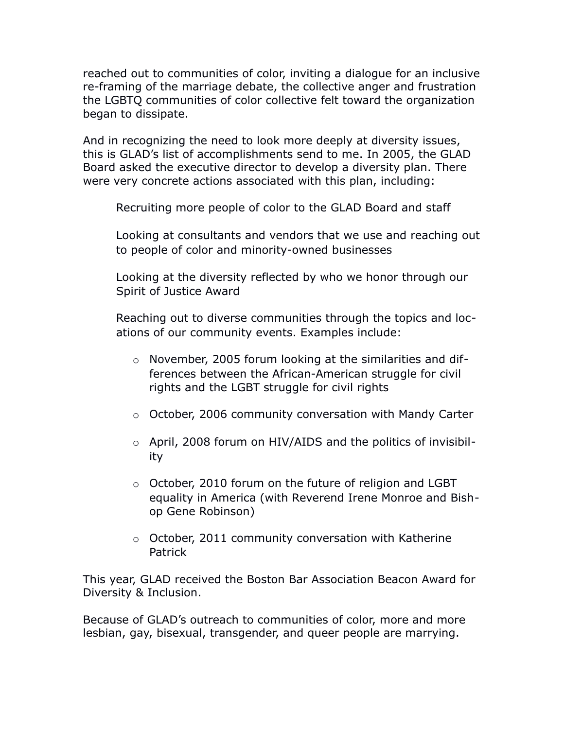reached out to communities of color, inviting a dialogue for an inclusive re-framing of the marriage debate, the collective anger and frustration the LGBTQ communities of color collective felt toward the organization began to dissipate.

And in recognizing the need to look more deeply at diversity issues, this is GLAD's list of accomplishments send to me. In 2005, the GLAD Board asked the executive director to develop a diversity plan. There were very concrete actions associated with this plan, including:

Recruiting more people of color to the GLAD Board and staff

Looking at consultants and vendors that we use and reaching out to people of color and minority-owned businesses

Looking at the diversity reflected by who we honor through our Spirit of Justice Award

Reaching out to diverse communities through the topics and locations of our community events. Examples include:

- o November, 2005 forum looking at the similarities and differences between the African-American struggle for civil rights and the LGBT struggle for civil rights
- o October, 2006 community conversation with Mandy Carter
- o April, 2008 forum on HIV/AIDS and the politics of invisibility
- o October, 2010 forum on the future of religion and LGBT equality in America (with Reverend Irene Monroe and Bishop Gene Robinson)
- o October, 2011 community conversation with Katherine Patrick

This year, GLAD received the Boston Bar Association Beacon Award for Diversity & Inclusion.

Because of GLAD's outreach to communities of color, more and more lesbian, gay, bisexual, transgender, and queer people are marrying.